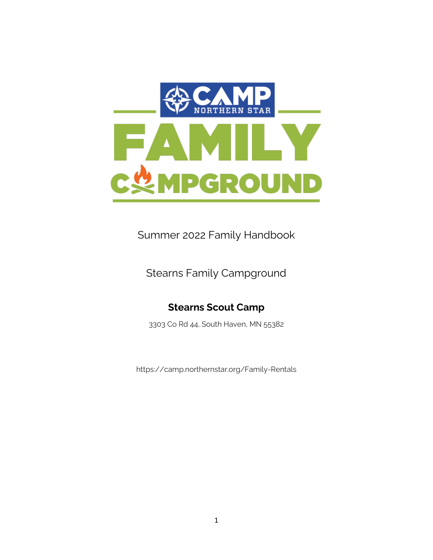

Summer 2022 Family Handbook

Stearns Family Campground

### **Stearns Scout Camp**

3303 Co Rd 44, South Haven, MN 55382

https://camp.northernstar.org/Family-Rentals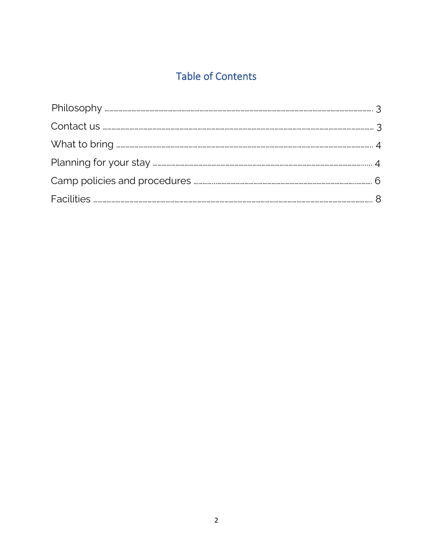# **Table of Contents**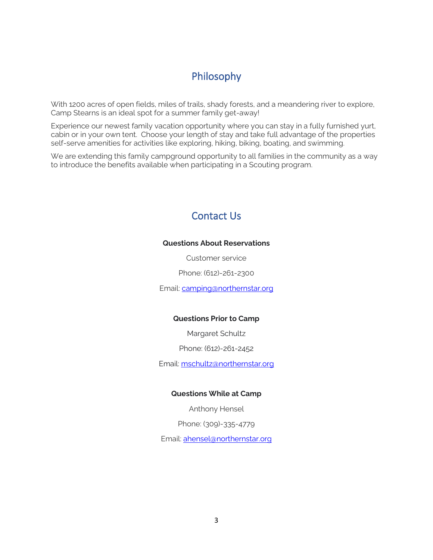### Philosophy

With 1200 acres of open fields, miles of trails, shady forests, and a meandering river to explore, Camp Stearns is an ideal spot for a summer family get-away!

Experience our newest family vacation opportunity where you can stay in a fully furnished yurt, cabin or in your own tent. Choose your length of stay and take full advantage of the properties self-serve amenities for activities like exploring, hiking, biking, boating, and swimming.

We are extending this family campground opportunity to all families in the community as a way to introduce the benefits available when participating in a Scouting program.

## Contact Us

#### **Questions About Reservations**

Customer service

Phone: (612)-261-2300

Email: [camping@northernstar.org](mailto:camping@northernstar.org)

#### **Questions Prior to Camp**

Margaret Schultz

Phone: (612)-261-2452

Email:<mschultz@northernstar.org>

#### **Questions While at Camp**

Anthony Hensel

Phone: (309)-335-4779

Email: [ahensel@northernstar.org](mailto:ahensel@northernstar.org)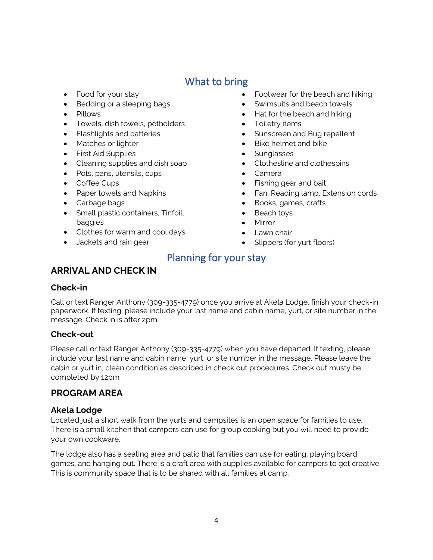## What to bring

- Food for your stay
- Bedding or a sleeping bags
- Pillows
- Towels, dish towels, potholders
- Flashlights and batteries
- Matches or lighter
- First Aid Supplies
- Cleaning supplies and dish soap
- Pots, pans, utensils, cups
- Coffee Cups
- Paper towels and Napkins
- Garbage bags
- Small plastic containers, Tinfoil, baggies
- Clothes for warm and cool days
- Jackets and rain gear
- Footwear for the beach and hiking
- Swimsuits and beach towels
- Hat for the beach and hiking
- Toiletry items
- Sunscreen and Bug repellent
- Bike helmet and bike
- Sunglasses
- Clothesline and clothespins
- Camera
- Fishing gear and bait
- Fan, Reading lamp, Extension cords
- Books, games, crafts
- Beach toys
- Mirror
- Lawn chair
- Slippers (for yurt floors)

## Planning for your stay

### **ARRIVAL AND CHECK IN**

#### **Check-in**

Call or text Ranger Anthony (309-335-4779) once you arrive at Akela Lodge, finish your check-in paperwork. If texting, please include your last name and cabin name, yurt, or site number in the message. Check in is after 2pm.

#### **Check-out**

Please call or text Ranger Anthony (309-335-4779) when you have departed. If texting, please include your last name and cabin name, yurt, or site number in the message. Please leave the cabin or yurt in, clean condition as described in check out procedures. Check out musty be completed by 12pm

### **PROGRAM AREA**

#### **Akela Lodge**

Located just a short walk from the yurts and campsites is an open space for families to use. There is a small kitchen that campers can use for group cooking but you will need to provide your own cookware.

The lodge also has a seating area and patio that families can use for eating, playing board games, and hanging out. There is a craft area with supplies available for campers to get creative. This is community space that is to be shared with all families at camp.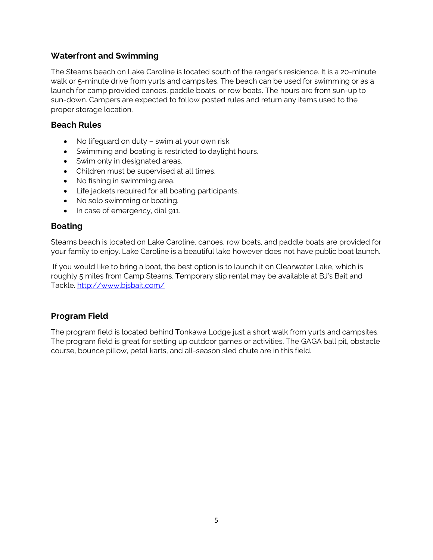#### **Waterfront and Swimming**

The Stearns beach on Lake Caroline is located south of the ranger's residence. It is a 20-minute walk or 5-minute drive from yurts and campsites. The beach can be used for swimming or as a launch for camp provided canoes, paddle boats, or row boats. The hours are from sun-up to sun-down. Campers are expected to follow posted rules and return any items used to the proper storage location.

#### **Beach Rules**

- No lifeguard on duty swim at your own risk.
- Swimming and boating is restricted to daylight hours.
- Swim only in designated areas.
- Children must be supervised at all times.
- No fishing in swimming area.
- Life jackets required for all boating participants.
- No solo swimming or boating.
- In case of emergency, dial 911.

#### **Boating**

Stearns beach is located on Lake Caroline, canoes, row boats, and paddle boats are provided for your family to enjoy. Lake Caroline is a beautiful lake however does not have public boat launch.

If you would like to bring a boat, the best option is to launch it on Clearwater Lake, which is roughly 5 miles from Camp Stearns. Temporary slip rental may be available at BJ's Bait and Tackle.<http://www.bjsbait.com/>

#### **Program Field**

The program field is located behind Tonkawa Lodge just a short walk from yurts and campsites. The program field is great for setting up outdoor games or activities. The GAGA ball pit, obstacle course, bounce pillow, petal karts, and all-season sled chute are in this field.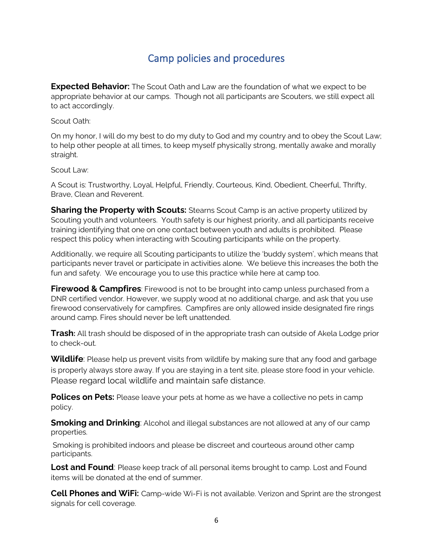## Camp policies and procedures

**Expected Behavior:** The Scout Oath and Law are the foundation of what we expect to be appropriate behavior at our camps. Though not all participants are Scouters, we still expect all to act accordingly.

#### Scout Oath:

On my honor, I will do my best to do my duty to God and my country and to obey the Scout Law; to help other people at all times, to keep myself physically strong, mentally awake and morally straight.

Scout Law:

A Scout is: Trustworthy, Loyal, Helpful, Friendly, Courteous, Kind, Obedient, Cheerful, Thrifty, Brave, Clean and Reverent.

**Sharing the Property with Scouts:** Stearns Scout Camp is an active property utilized by Scouting youth and volunteers. Youth safety is our highest priority, and all participants receive training identifying that one on one contact between youth and adults is prohibited. Please respect this policy when interacting with Scouting participants while on the property.

Additionally, we require all Scouting participants to utilize the 'buddy system', which means that participants never travel or participate in activities alone. We believe this increases the both the fun and safety. We encourage you to use this practice while here at camp too.

**Firewood & Campfires**: Firewood is not to be brought into camp unless purchased from a DNR certified vendor. However, we supply wood at no additional charge, and ask that you use firewood conservatively for campfires. Campfires are only allowed inside designated fire rings around camp. Fires should never be left unattended.

**Trash:** All trash should be disposed of in the appropriate trash can outside of Akela Lodge prior to check-out.

**Wildlife**: Please help us prevent visits from wildlife by making sure that any food and garbage is properly always store away. If you are staying in a tent site, please store food in your vehicle. Please regard local wildlife and maintain safe distance.

**Polices on Pets:** Please leave your pets at home as we have a collective no pets in camp policy.

**Smoking and Drinking**: Alcohol and illegal substances are not allowed at any of our camp properties.

Smoking is prohibited indoors and please be discreet and courteous around other camp participants.

**Lost and Found**: Please keep track of all personal items brought to camp. Lost and Found items will be donated at the end of summer.

**Cell Phones and WiFi:** Camp-wide Wi-Fi is not available. Verizon and Sprint are the strongest signals for cell coverage.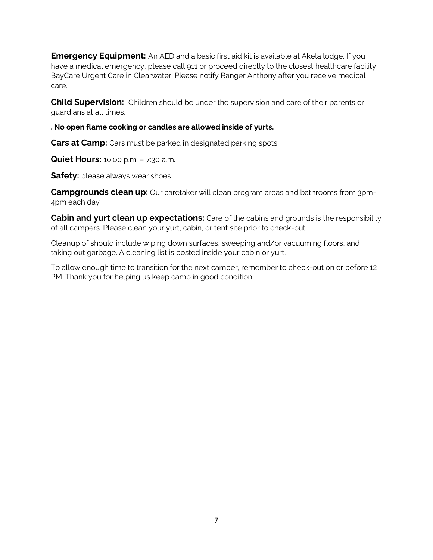**Emergency Equipment:** An AED and a basic first aid kit is available at Akela lodge. If you have a medical emergency, please call 911 or proceed directly to the closest healthcare facility; BayCare Urgent Care in Clearwater. Please notify Ranger Anthony after you receive medical care.

**Child Supervision:** Children should be under the supervision and care of their parents or guardians at all times.

**. No open flame cooking or candles are allowed inside of yurts.**

**Cars at Camp:** Cars must be parked in designated parking spots.

**Quiet Hours:** 10:00 p.m. – 7:30 a.m.

**Safety:** please always wear shoes!

**Campgrounds clean up:** Our caretaker will clean program areas and bathrooms from 3pm-4pm each day

**Cabin and yurt clean up expectations:** Care of the cabins and grounds is the responsibility of all campers. Please clean your yurt, cabin, or tent site prior to check-out.

Cleanup of should include wiping down surfaces, sweeping and/or vacuuming floors, and taking out garbage. A cleaning list is posted inside your cabin or yurt.

To allow enough time to transition for the next camper, remember to check-out on or before 12 PM. Thank you for helping us keep camp in good condition.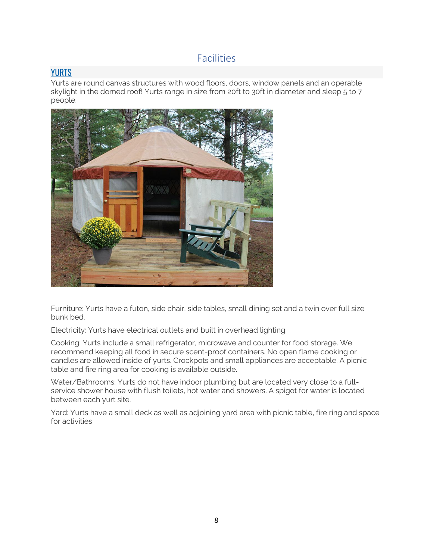### Facilities

### **[YURTS](https://camp.northernstar.org/Article-Detail/family-campground#collapseOne)**

Yurts are round canvas structures with wood floors, doors, window panels and an operable skylight in the domed roof! Yurts range in size from 20ft to 30ft in diameter and sleep 5 to 7 people.



Furniture: Yurts have a futon, side chair, side tables, small dining set and a twin over full size bunk bed.

Electricity: Yurts have electrical outlets and built in overhead lighting.

Cooking: Yurts include a small refrigerator, microwave and counter for food storage. We recommend keeping all food in secure scent-proof containers. No open flame cooking or candles are allowed inside of yurts. Crockpots and small appliances are acceptable. A picnic table and fire ring area for cooking is available outside.

Water/Bathrooms: Yurts do not have indoor plumbing but are located very close to a fullservice shower house with flush toilets, hot water and showers. A spigot for water is located between each yurt site.

Yard: Yurts have a small deck as well as adjoining yard area with picnic table, fire ring and space for activities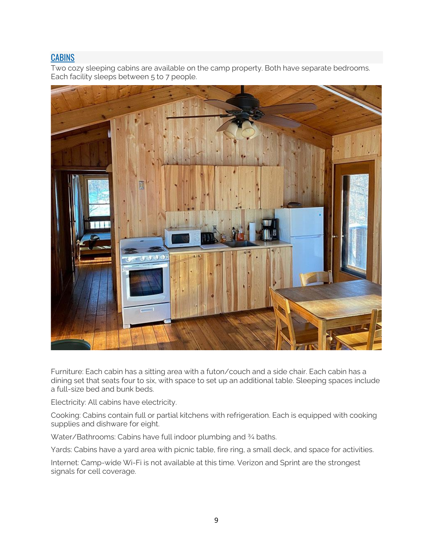### **[CABINS](https://camp.northernstar.org/Article-Detail/family-campground#collapseTwo)**

Two cozy sleeping cabins are available on the camp property. Both have separate bedrooms. Each facility sleeps between 5 to 7 people.



Furniture: Each cabin has a sitting area with a futon/couch and a side chair. Each cabin has a dining set that seats four to six, with space to set up an additional table. Sleeping spaces include a full-size bed and bunk beds.

Electricity: All cabins have electricity.

Cooking: Cabins contain full or partial kitchens with refrigeration. Each is equipped with cooking supplies and dishware for eight.

Water/Bathrooms: Cabins have full indoor plumbing and 3/4 baths.

Yards: Cabins have a yard area with picnic table, fire ring, a small deck, and space for activities.

Internet: Camp-wide Wi-Fi is not available at this time. Verizon and Sprint are the strongest signals for cell coverage.